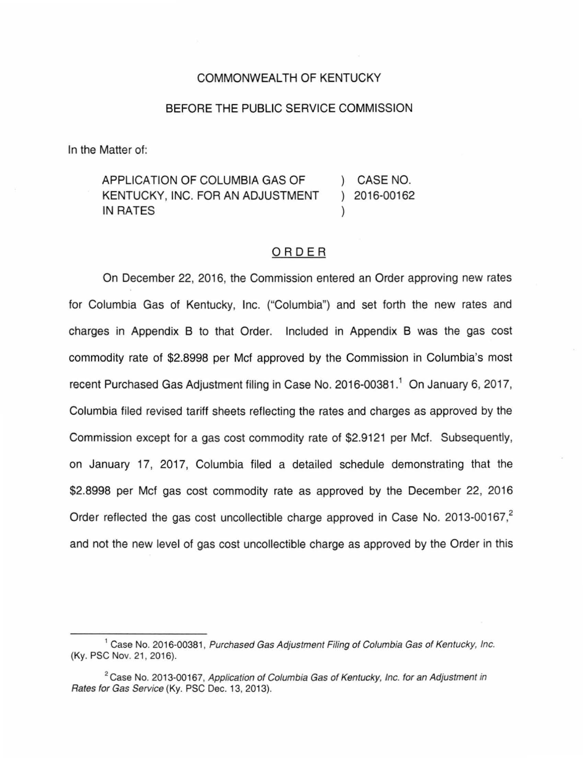### COMMONWEALTH OF KENTUCKY

### BEFORE THE PUBLIC SERVICE COMMISSION

In the Matter of:

APPLICATION OF COLUMBIA GAS OF KENTUCKY, INC. FOR AN ADJUSTMENT IN RATES ) CASE NO. ) 2016-00162 )

## ORDER

On December 22, 2016, the Commission entered an Order approving new rates for Columbia Gas of Kentucky, Inc. ("Columbia") and set forth the new rates and charges in Appendix B to that Order. Included in Appendix B was the gas cost commodity rate of \$2.8998 per Met approved by the Commission in Columbia's most recent Purchased Gas Adjustment filing in Case No. 2016-00381.<sup>1</sup> On January 6, 2017, Columbia filed revised tariff sheets reflecting the rates and charges as approved by the Commission except for a gas cost commodity rate of \$2.9121 per Met. Subsequently, on January 17, 2017, Columbia filed a detailed schedule demonstrating that the \$2.8998 per Mcf gas cost commodity rate as approved by the December 22, 2016 Order reflected the gas cost uncollectible charge approved in Case No. 2013-00167,<sup>2</sup> and not the new level of gas cost uncollectible charge as approved by the Order in this

<sup>&</sup>lt;sup>1</sup> Case No. 2016-00381, Purchased Gas Adjustment Filing of Columbia Gas of Kentucky, Inc. (Ky. PSC Nov. 21, 2016).

<sup>&</sup>lt;sup>2</sup> Case No. 2013-00167, Application of Columbia Gas of Kentucky, Inc. for an Adjustment in Rates for Gas Service (Ky. PSC Dec. 13, 2013).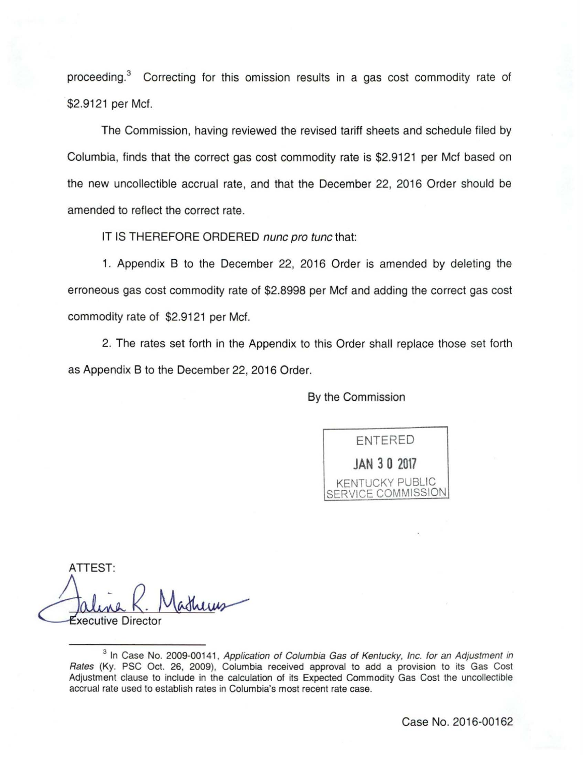proceeding.<sup>3</sup> Correcting for this omission results in a gas cost commodity rate of \$2.9121 per Met.

The Commission, having reviewed the revised tariff sheets and schedule filed by Columbia, finds that the correct gas cost commodity rate is \$2.9121 per Mcf based on the new uncollectible accrual rate, and that the December 22, 2016 Order should be amended to reflect the correct rate.

IT IS THEREFORE ORDERED nunc pro tunc that:

1. Appendix B to the December 22, 2016 Order is amended by deleting the erroneous gas cost commodity rate of \$2.8998 per Met and adding the correct gas cost commodity rate of \$2.9121 per Met.

2. The rates set forth in the Appendix to this Order shall replace those set forth as Appendix B to the December 22, 2016 Order.

By the Commission

ENTERED **JAN 3 0 2017**  KENTUCKY PUBLIC SERVICE COMMISSION

ATTEST: Faline R. Mathews

<sup>&</sup>lt;sup>3</sup> In Case No. 2009-00141, Application of Columbia Gas of Kentucky, Inc. for an Adjustment in Rates (Ky. PSG Oct. 26, 2009), Columbia received approval to add a provision to its Gas Cost Adjustment clause to include in the calculation of its Expected Commodity Gas Cost the uncollectible accrual rate used to establish rates in Columbia's most recent rate case.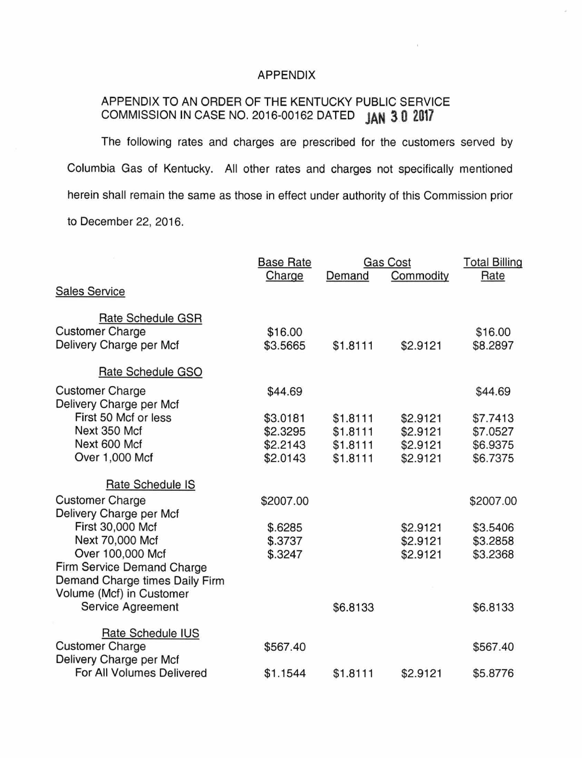## APPENDIX

# APPENDIX TO AN ORDER OF THE KENTUCKY PUBLIC SERVICE COMMISSION IN CASE NO. 2016-00162 DATED **JAN 3 0 <sup>2017</sup>**

The following rates and charges are prescribed for the customers served by Columbia Gas of Kentucky. All other rates and charges not specifically mentioned herein shall remain the same as those in effect under authority of this Commission prior to December 22, 2016.

|                                | <b>Base Rate</b> |          | Gas Cost  | <b>Total Billing</b> |
|--------------------------------|------------------|----------|-----------|----------------------|
|                                | Charge           | Demand   | Commodity | Rate                 |
| <b>Sales Service</b>           |                  |          |           |                      |
| Rate Schedule GSR              |                  |          |           |                      |
| <b>Customer Charge</b>         | \$16.00          |          |           | \$16.00              |
| Delivery Charge per Mcf        | \$3.5665         | \$1.8111 | \$2.9121  | \$8.2897             |
| Rate Schedule GSO              |                  |          |           |                      |
| <b>Customer Charge</b>         | \$44.69          |          |           | \$44.69              |
| Delivery Charge per Mcf        |                  |          |           |                      |
| First 50 Mcf or less           | \$3.0181         | \$1.8111 | \$2.9121  | \$7.7413             |
| Next 350 Mcf                   | \$2.3295         | \$1.8111 | \$2.9121  | \$7.0527             |
| Next 600 Mcf                   | \$2.2143         | \$1.8111 | \$2.9121  | \$6.9375             |
| Over 1,000 Mcf                 | \$2.0143         | \$1.8111 | \$2.9121  | \$6.7375             |
| Rate Schedule IS               |                  |          |           |                      |
| <b>Customer Charge</b>         | \$2007.00        |          |           | \$2007.00            |
| Delivery Charge per Mcf        |                  |          |           |                      |
| First 30,000 Mcf               | \$.6285          |          | \$2.9121  | \$3.5406             |
| Next 70,000 Mcf                | \$.3737          |          | \$2.9121  | \$3.2858             |
| Over 100,000 Mcf               | \$.3247          |          | \$2.9121  | \$3.2368             |
| Firm Service Demand Charge     |                  |          |           |                      |
| Demand Charge times Daily Firm |                  |          |           |                      |
| Volume (Mcf) in Customer       |                  |          |           |                      |
| Service Agreement              |                  | \$6.8133 |           | \$6.8133             |
| Rate Schedule IUS              |                  |          |           |                      |
| <b>Customer Charge</b>         | \$567.40         |          |           | \$567.40             |
| Delivery Charge per Mcf        |                  |          |           |                      |
| For All Volumes Delivered      | \$1.1544         | \$1.8111 | \$2.9121  | \$5.8776             |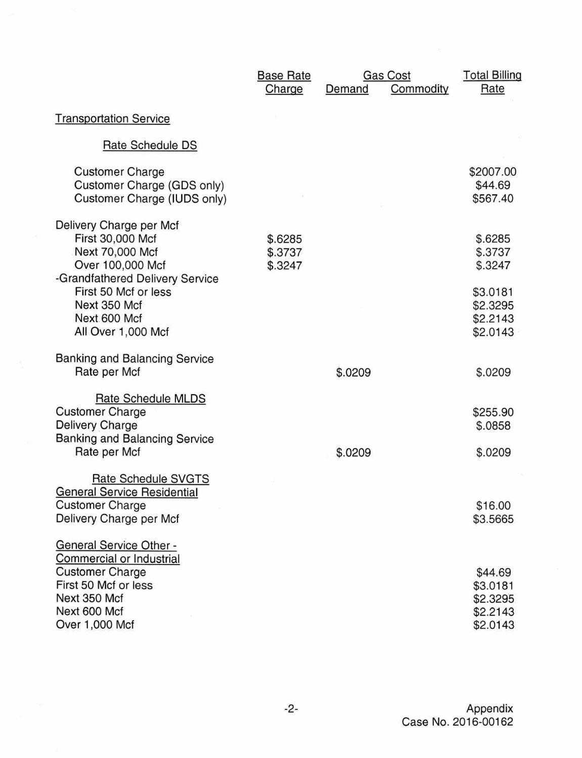|                                                                                                                                                                                                     | <b>Base Rate</b><br>Charge    | Demand  | <b>Gas Cost</b><br>Commodity | <b>Total Billing</b><br>Rate                                                  |
|-----------------------------------------------------------------------------------------------------------------------------------------------------------------------------------------------------|-------------------------------|---------|------------------------------|-------------------------------------------------------------------------------|
| <b>Transportation Service</b>                                                                                                                                                                       |                               |         |                              |                                                                               |
| Rate Schedule DS                                                                                                                                                                                    |                               |         |                              |                                                                               |
| <b>Customer Charge</b><br>Customer Charge (GDS only)<br>Customer Charge (IUDS only)                                                                                                                 |                               |         |                              | \$2007.00<br>\$44.69<br>\$567.40                                              |
| Delivery Charge per Mcf<br>First 30,000 Mcf<br>Next 70,000 Mcf<br>Over 100,000 Mcf<br>-Grandfathered Delivery Service<br>First 50 Mcf or less<br>Next 350 Mcf<br>Next 600 Mcf<br>All Over 1,000 Mcf | \$.6285<br>\$.3737<br>\$.3247 |         |                              | \$.6285<br>\$.3737<br>\$.3247<br>\$3.0181<br>\$2.3295<br>\$2.2143<br>\$2.0143 |
| <b>Banking and Balancing Service</b><br>Rate per Mcf                                                                                                                                                |                               | \$.0209 |                              | \$.0209                                                                       |
| Rate Schedule MLDS<br><b>Customer Charge</b><br>Delivery Charge<br><b>Banking and Balancing Service</b><br>Rate per Mcf                                                                             |                               | \$.0209 |                              | \$255.90<br>\$.0858<br>\$.0209                                                |
| Rate Schedule SVGTS<br><b>General Service Residential</b><br><b>Customer Charge</b><br>Delivery Charge per Mcf                                                                                      |                               |         |                              | \$16.00<br>\$3.5665                                                           |
| <b>General Service Other -</b><br>Commercial or Industrial<br><b>Customer Charge</b><br>First 50 Mcf or less<br>Next 350 Mcf<br>Next 600 Mcf<br>Over 1,000 Mcf                                      |                               |         |                              | \$44.69<br>\$3.0181<br>\$2.3295<br>\$2.2143<br>\$2.0143                       |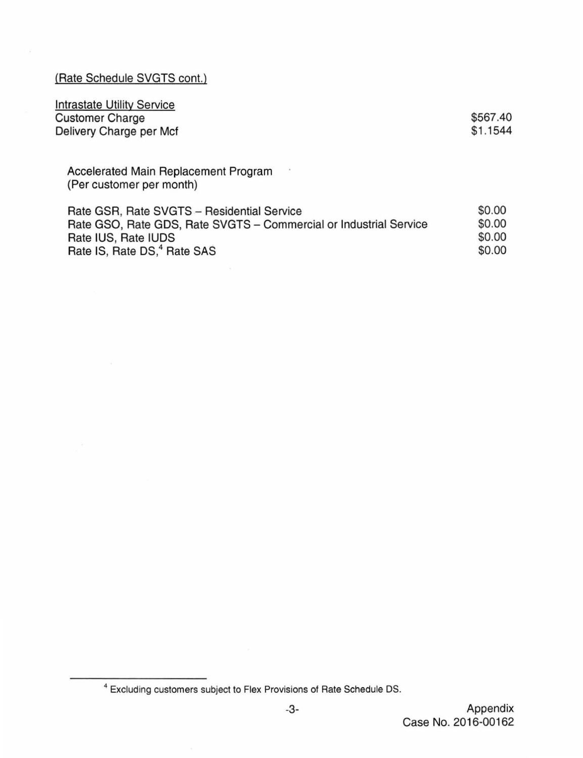(Rate Schedule SVGTS cont.)

| \$567.40 |
|----------|
| \$1.1544 |
|          |

Accelerated Main Replacement Program (Per customer per month)

Rate GSR, Rate SVGTS - Residential Service<br>Rate GSO, Rate GDS, Rate SVGTS - Commercial or Industrial Service \$0.00 Rate GSO, Rate GDS, Rate SVGTS - Commercial or Industrial Service \$0.00<br>Rate IUS, Rate IUDS \$0.00 Rate IUS, Rate IUDS<br>
Rate IS. Rate DS.<sup>4</sup> Rate SAS<br>
\$0.00 Rate IS, Rate  $DS$ ,  $4$  Rate SAS  $$0.00$ 

<sup>4</sup>Excluding customers subject to Flex Provisions of Rate Schedule OS.